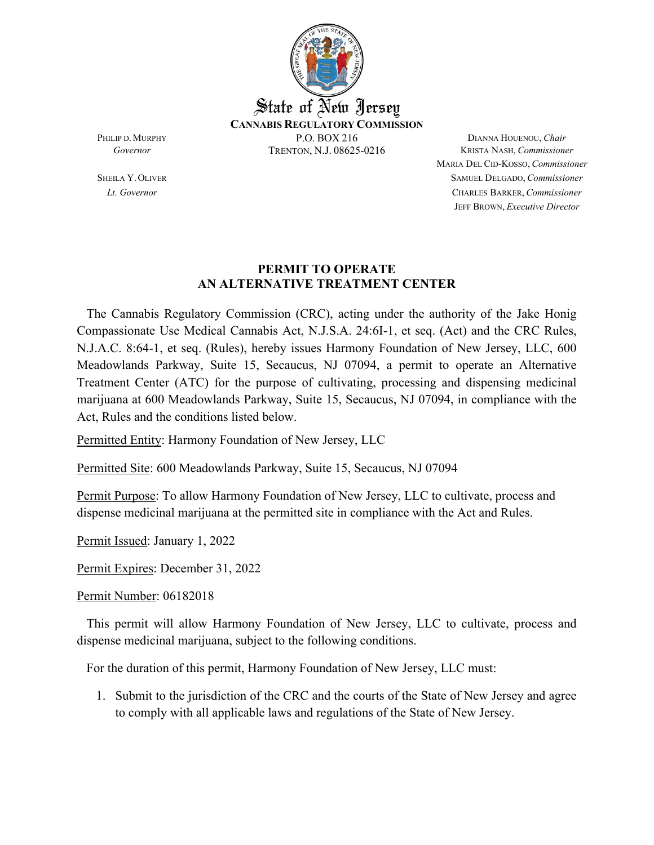

MARIA DEL CID-KOSSO, *Commissioner* SHEILA Y.OLIVER SAMUEL DELGADO, *Commissioner Lt. Governor* CHARLES BARKER, *Commissioner* JEFF BROWN, *Executive Director*

## **PERMIT TO OPERATE AN ALTERNATIVE TREATMENT CENTER**

 The Cannabis Regulatory Commission (CRC), acting under the authority of the Jake Honig Compassionate Use Medical Cannabis Act, N.J.S.A. 24:6I-1, et seq. (Act) and the CRC Rules, N.J.A.C. 8:64-1, et seq. (Rules), hereby issues Harmony Foundation of New Jersey, LLC, 600 Meadowlands Parkway, Suite 15, Secaucus, NJ 07094, a permit to operate an Alternative Treatment Center (ATC) for the purpose of cultivating, processing and dispensing medicinal marijuana at 600 Meadowlands Parkway, Suite 15, Secaucus, NJ 07094, in compliance with the Act, Rules and the conditions listed below.

Permitted Entity: Harmony Foundation of New Jersey, LLC

Permitted Site: 600 Meadowlands Parkway, Suite 15, Secaucus, NJ 07094

Permit Purpose: To allow Harmony Foundation of New Jersey, LLC to cultivate, process and dispense medicinal marijuana at the permitted site in compliance with the Act and Rules.

Permit Issued: January 1, 2022

Permit Expires: December 31, 2022

Permit Number: 06182018

 This permit will allow Harmony Foundation of New Jersey, LLC to cultivate, process and dispense medicinal marijuana, subject to the following conditions.

For the duration of this permit, Harmony Foundation of New Jersey, LLC must:

1. Submit to the jurisdiction of the CRC and the courts of the State of New Jersey and agree to comply with all applicable laws and regulations of the State of New Jersey.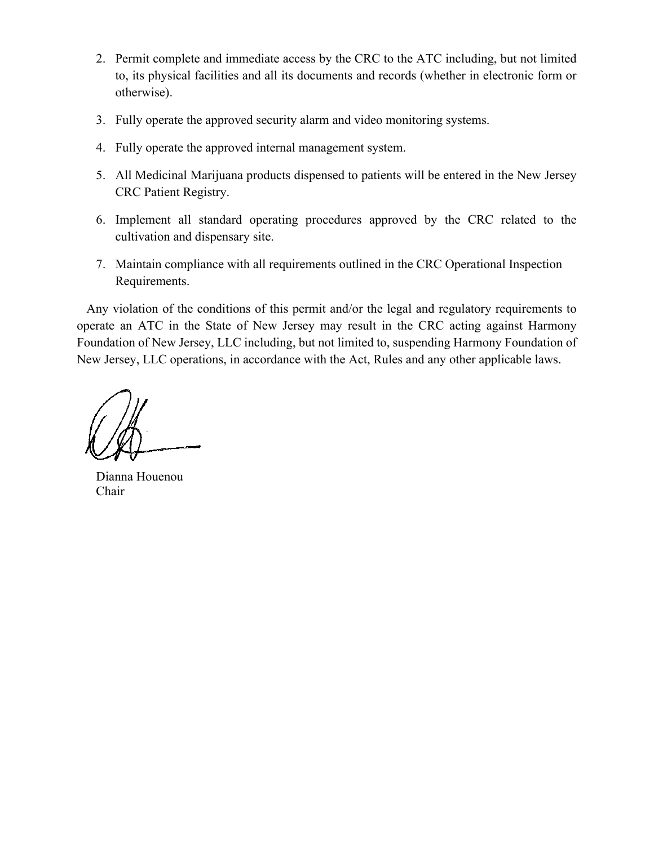- 2. Permit complete and immediate access by the CRC to the ATC including, but not limited to, its physical facilities and all its documents and records (whether in electronic form or otherwise).
- 3. Fully operate the approved security alarm and video monitoring systems.
- 4. Fully operate the approved internal management system.
- 5. All Medicinal Marijuana products dispensed to patients will be entered in the New Jersey CRC Patient Registry.
- 6. Implement all standard operating procedures approved by the CRC related to the cultivation and dispensary site.
- 7. Maintain compliance with all requirements outlined in the CRC Operational Inspection Requirements.

 Any violation of the conditions of this permit and/or the legal and regulatory requirements to operate an ATC in the State of New Jersey may result in the CRC acting against Harmony Foundation of New Jersey, LLC including, but not limited to, suspending Harmony Foundation of New Jersey, LLC operations, in accordance with the Act, Rules and any other applicable laws.

 Dianna Houenou Chair